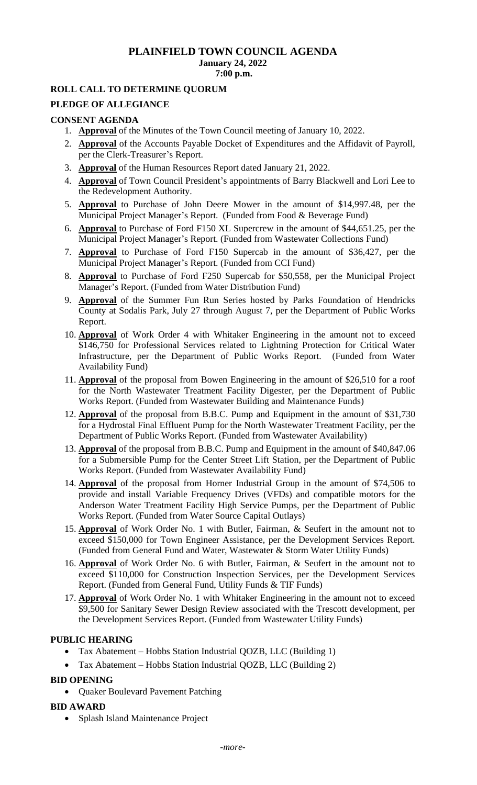## **PLAINFIELD TOWN COUNCIL AGENDA January 24, 2022 7:00 p.m.**

## **ROLL CALL TO DETERMINE QUORUM**

#### **PLEDGE OF ALLEGIANCE**

#### **CONSENT AGENDA**

- 1. **Approval** of the Minutes of the Town Council meeting of January 10, 2022.
- 2. **Approval** of the Accounts Payable Docket of Expenditures and the Affidavit of Payroll, per the Clerk-Treasurer's Report.
- 3. **Approval** of the Human Resources Report dated January 21, 2022.
- 4. **Approval** of Town Council President's appointments of Barry Blackwell and Lori Lee to the Redevelopment Authority.
- 5. **Approval** to Purchase of John Deere Mower in the amount of \$14,997.48, per the Municipal Project Manager's Report. (Funded from Food & Beverage Fund)
- 6. **Approval** to Purchase of Ford F150 XL Supercrew in the amount of \$44,651.25, per the Municipal Project Manager's Report. (Funded from Wastewater Collections Fund)
- 7. **Approval** to Purchase of Ford F150 Supercab in the amount of \$36,427, per the Municipal Project Manager's Report. (Funded from CCI Fund)
- 8. **Approval** to Purchase of Ford F250 Supercab for \$50,558, per the Municipal Project Manager's Report. (Funded from Water Distribution Fund)
- 9. **Approval** of the Summer Fun Run Series hosted by Parks Foundation of Hendricks County at Sodalis Park, July 27 through August 7, per the Department of Public Works Report.
- 10. **Approval** of Work Order 4 with Whitaker Engineering in the amount not to exceed \$146,750 for Professional Services related to Lightning Protection for Critical Water Infrastructure, per the Department of Public Works Report. (Funded from Water Availability Fund)
- 11. **Approval** of the proposal from Bowen Engineering in the amount of \$26,510 for a roof for the North Wastewater Treatment Facility Digester, per the Department of Public Works Report. (Funded from Wastewater Building and Maintenance Funds)
- 12. **Approval** of the proposal from B.B.C. Pump and Equipment in the amount of \$31,730 for a Hydrostal Final Effluent Pump for the North Wastewater Treatment Facility, per the Department of Public Works Report. (Funded from Wastewater Availability)
- 13. **Approval** of the proposal from B.B.C. Pump and Equipment in the amount of \$40,847.06 for a Submersible Pump for the Center Street Lift Station, per the Department of Public Works Report. (Funded from Wastewater Availability Fund)
- 14. **Approval** of the proposal from Horner Industrial Group in the amount of \$74,506 to provide and install Variable Frequency Drives (VFDs) and compatible motors for the Anderson Water Treatment Facility High Service Pumps, per the Department of Public Works Report. (Funded from Water Source Capital Outlays)
- 15. **Approval** of Work Order No. 1 with Butler, Fairman, & Seufert in the amount not to exceed \$150,000 for Town Engineer Assistance, per the Development Services Report. (Funded from General Fund and Water, Wastewater & Storm Water Utility Funds)
- 16. **Approval** of Work Order No. 6 with Butler, Fairman, & Seufert in the amount not to exceed \$110,000 for Construction Inspection Services, per the Development Services Report. (Funded from General Fund, Utility Funds & TIF Funds)
- 17. **Approval** of Work Order No. 1 with Whitaker Engineering in the amount not to exceed \$9,500 for Sanitary Sewer Design Review associated with the Trescott development, per the Development Services Report. (Funded from Wastewater Utility Funds)

## **PUBLIC HEARING**

- Tax Abatement Hobbs Station Industrial QOZB, LLC (Building 1)
- Tax Abatement Hobbs Station Industrial QOZB, LLC (Building 2)

## **BID OPENING**

• Quaker Boulevard Pavement Patching

## **BID AWARD**

• Splash Island Maintenance Project